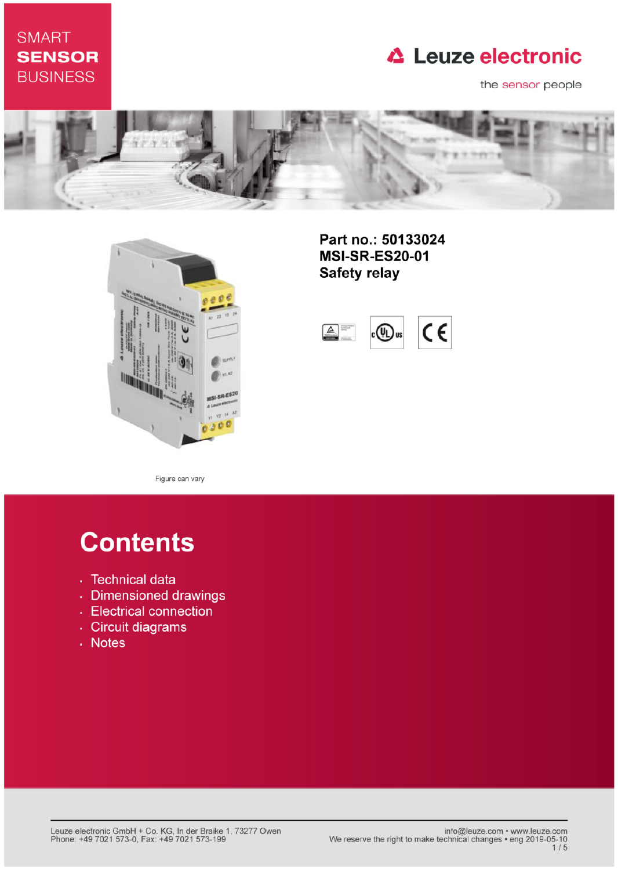## **SMART SENSOR BUSINESS**

# **△ Leuze electronic**

the sensor people





Part no.: 50133024 **MSI-SR-ES20-01 Safety relay** 



Figure can vary

# **Contents**

- · Technical data
- · Dimensioned drawings
- Electrical connection
- · Circuit diagrams
- . Notes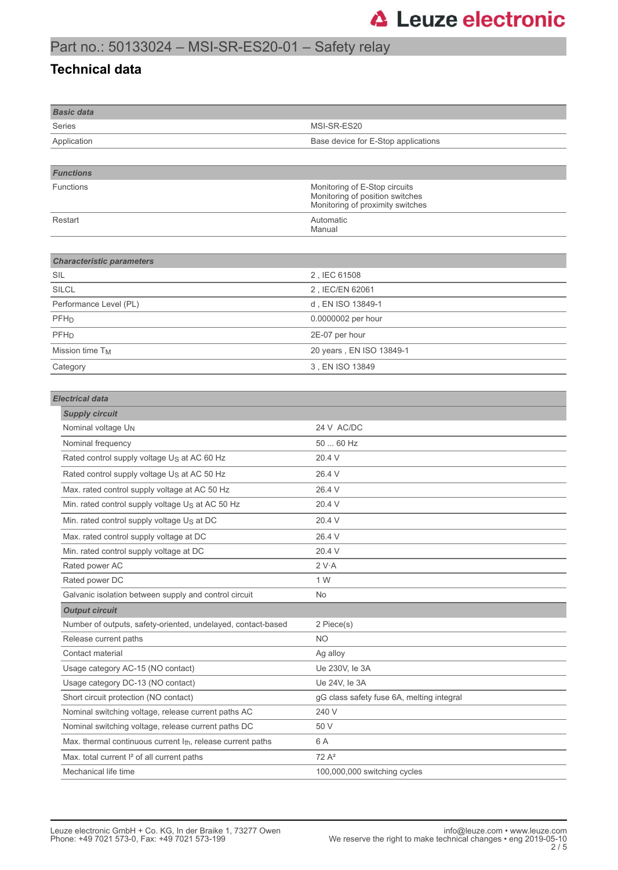### Part no.: 50133024 – MSI-SR-ES20-01 – Safety relay

#### **Technical data**

| <b>Basic data</b>                                                |                                                                                                      |
|------------------------------------------------------------------|------------------------------------------------------------------------------------------------------|
| Series                                                           | MSI-SR-ES20                                                                                          |
| Application                                                      | Base device for E-Stop applications                                                                  |
|                                                                  |                                                                                                      |
| <b>Functions</b>                                                 |                                                                                                      |
| <b>Functions</b>                                                 | Monitoring of E-Stop circuits<br>Monitoring of position switches<br>Monitoring of proximity switches |
| Restart                                                          | Automatic<br>Manual                                                                                  |
|                                                                  |                                                                                                      |
| <b>Characteristic parameters</b><br>SIL                          | 2, IEC 61508                                                                                         |
| <b>SILCL</b>                                                     | 2, IEC/EN 62061                                                                                      |
| Performance Level (PL)                                           | d, EN ISO 13849-1                                                                                    |
| PFHD                                                             | 0.0000002 per hour                                                                                   |
|                                                                  |                                                                                                      |
| <b>PFH<sub>D</sub></b>                                           | 2E-07 per hour                                                                                       |
| Mission time T <sub>M</sub>                                      | 20 years, EN ISO 13849-1                                                                             |
| Category                                                         | 3, EN ISO 13849                                                                                      |
|                                                                  |                                                                                                      |
| <b>Electrical data</b>                                           |                                                                                                      |
| <b>Supply circuit</b>                                            |                                                                                                      |
| Nominal voltage UN                                               | 24 V AC/DC                                                                                           |
| Nominal frequency                                                | 50  60 Hz                                                                                            |
| Rated control supply voltage Us at AC 60 Hz                      | 20.4 V                                                                                               |
| Rated control supply voltage Us at AC 50 Hz                      | 26.4 V                                                                                               |
| Max. rated control supply voltage at AC 50 Hz                    | 26.4 V                                                                                               |
| Min. rated control supply voltage Us at AC 50 Hz                 | 20.4 V                                                                                               |
| Min. rated control supply voltage Us at DC                       | 20.4 V                                                                                               |
| Max. rated control supply voltage at DC                          | 26.4 V                                                                                               |
| Min. rated control supply voltage at DC                          | 20.4 V                                                                                               |
| Rated power AC                                                   | 2 V·A                                                                                                |
| Rated power DC                                                   | 1 W                                                                                                  |
| Galvanic isolation between supply and control circuit            | No                                                                                                   |
| <b>Output circuit</b>                                            |                                                                                                      |
| Number of outputs, safety-oriented, undelayed, contact-based     | 2 Piece(s)                                                                                           |
| Release current paths                                            | <b>NO</b>                                                                                            |
| Contact material                                                 | Ag alloy                                                                                             |
| Usage category AC-15 (NO contact)                                | Ue 230V, le 3A                                                                                       |
| Usage category DC-13 (NO contact)                                | Ue 24V, le 3A                                                                                        |
| Short circuit protection (NO contact)                            | gG class safety fuse 6A, melting integral                                                            |
| Nominal switching voltage, release current paths AC              | 240 V                                                                                                |
| Nominal switching voltage, release current paths DC              | 50 V                                                                                                 |
| Max. thermal continuous current $I_{th}$ , release current paths | 6 A                                                                                                  |
| Max. total current I <sup>2</sup> of all current paths           | $72A^2$                                                                                              |
| Mechanical life time                                             | 100,000,000 switching cycles                                                                         |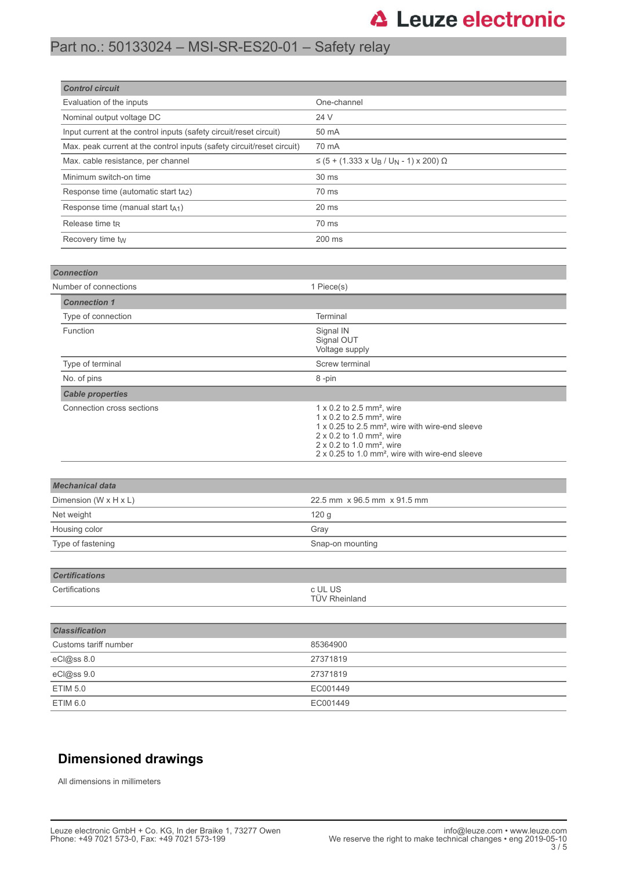# **△ Leuze electronic**

### Part no.: 50133024 – MSI-SR-ES20-01 – Safety relay

| <b>Control circuit</b>                                                 |                                                                 |
|------------------------------------------------------------------------|-----------------------------------------------------------------|
| Evaluation of the inputs                                               | One-channel                                                     |
| Nominal output voltage DC                                              | 24 V                                                            |
| Input current at the control inputs (safety circuit/reset circuit)     | 50 mA                                                           |
| Max. peak current at the control inputs (safety circuit/reset circuit) | 70 mA                                                           |
| Max. cable resistance, per channel                                     | $≤$ (5 + (1.333 x U <sub>B</sub> / U <sub>N</sub> - 1) x 200) Ω |
| Minimum switch-on time                                                 | 30 ms                                                           |
| Response time (automatic start t <sub>A2</sub> )                       | 70 ms                                                           |
| Response time (manual start $t_{A1}$ )                                 | $20$ ms                                                         |
| Release time t <sub>R</sub>                                            | 70 ms                                                           |
| Recovery time tw                                                       | $200$ ms                                                        |

| <b>Connection</b>         |                                                                                                                                                                                                                                                                                                                            |
|---------------------------|----------------------------------------------------------------------------------------------------------------------------------------------------------------------------------------------------------------------------------------------------------------------------------------------------------------------------|
| Number of connections     | 1 Piece(s)                                                                                                                                                                                                                                                                                                                 |
| <b>Connection 1</b>       |                                                                                                                                                                                                                                                                                                                            |
| Type of connection        | Terminal                                                                                                                                                                                                                                                                                                                   |
| Function                  | Signal IN<br>Signal OUT<br>Voltage supply                                                                                                                                                                                                                                                                                  |
| Type of terminal          | Screw terminal                                                                                                                                                                                                                                                                                                             |
| No. of pins               | 8-pin                                                                                                                                                                                                                                                                                                                      |
| <b>Cable properties</b>   |                                                                                                                                                                                                                                                                                                                            |
| Connection cross sections | $1 \times 0.2$ to 2.5 mm <sup>2</sup> , wire<br>$1 \times 0.2$ to 2.5 mm <sup>2</sup> , wire<br>1 x 0.25 to 2.5 mm <sup>2</sup> , wire with wire-end sleeve<br>$2 \times 0.2$ to 1.0 mm <sup>2</sup> , wire<br>$2 \times 0.2$ to 1.0 mm <sup>2</sup> , wire<br>2 x 0.25 to 1.0 mm <sup>2</sup> , wire with wire-end sleeve |

| <b>Mechanical data</b>              |                             |
|-------------------------------------|-----------------------------|
| Dimension (W $\times$ H $\times$ L) | 22.5 mm x 96.5 mm x 91.5 mm |
| Net weight                          | 120 g                       |
| Housing color                       | Grav                        |
| Type of fastening                   | Snap-on mounting            |

| <b>Certifications</b> |                          |
|-----------------------|--------------------------|
| Certifications        | c UL US<br>TÜV Rheinland |
|                       |                          |

| <b>Classification</b> |          |
|-----------------------|----------|
| Customs tariff number | 85364900 |
| eCl@ss 8.0            | 27371819 |
| eCl@ss 9.0            | 27371819 |
| ETIM 5.0              | EC001449 |
| ETIM 6.0              | EC001449 |

#### **Dimensioned drawings**

All dimensions in millimeters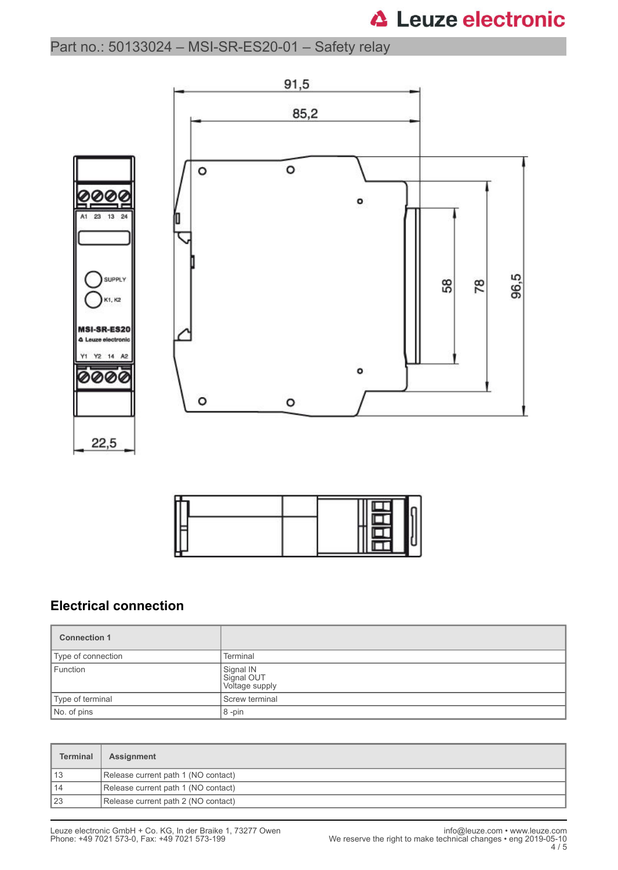# **△ Leuze electronic**

### Part no.: 50133024 – MSI-SR-ES20-01 – Safety relay





#### **Electrical connection**

| <b>Connection 1</b> |                                           |
|---------------------|-------------------------------------------|
| Type of connection  | <b>Terminal</b>                           |
| Function            | Signal IN<br>Signal OUT<br>Voltage supply |
| Type of terminal    | Screw terminal                            |
| No. of pins         | $8 - pin$                                 |

| <b>Terminal</b> | Assignment                          |
|-----------------|-------------------------------------|
| 13              | Release current path 1 (NO contact) |
| 14              | Release current path 1 (NO contact) |
| 23              | Release current path 2 (NO contact) |